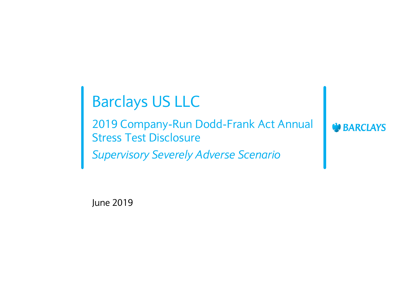# Barclays US LLC

2019 Company-Run Dodd-Frank Act Annual Stress Test Disclosure *Supervisory Severely Adverse Scenario*

**BARCLAYS** 

June 2019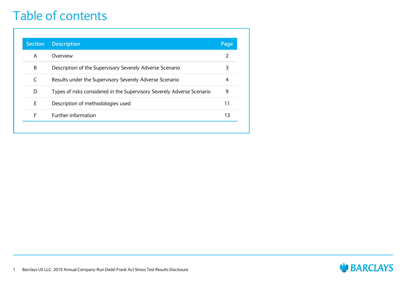#### Table of contents

| <b>Section</b> | <b>Description</b>                                                     | Page           |
|----------------|------------------------------------------------------------------------|----------------|
| A              | Overview                                                               | $\mathcal{P}$  |
| B              | Description of the Supervisory Severely Adverse Scenario               | 3              |
| C              | Results under the Supervisory Severely Adverse Scenario                | $\overline{4}$ |
| D              | Types of risks considered in the Supervisory Severely Adverse Scenario | 9              |
| E              | Description of methodologies used                                      | 11             |
| F              | Further information                                                    | 13             |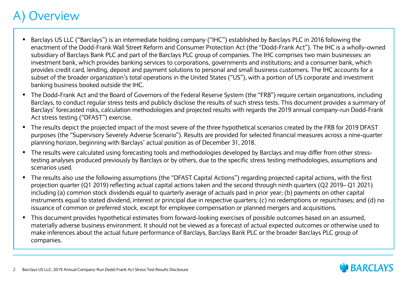#### **Overview**

- Barclays US LLC ("Barclays") is an intermediate holding company ("IHC") established by Barclays PLC in 2016 following the enactment of the Dodd-Frank Wall Street Reform and Consumer Protection Act (the "Dodd-Frank Act"). The IHC is a wholly-owned subsidiary of Barclays Bank PLC and part of the Barclays PLC group of companies. The IHC comprises two main businesses: an investment bank, which provides banking services to corporations, governments and institutions; and a consumer bank, which provides credit card, lending, deposit and payment solutions to personal and small business customers. The IHC accounts for a subset of the broader organization's total operations in the United States ("US"), with a portion of US corporate and investment banking business booked outside the IHC.
- The Dodd-Frank Act and the Board of Governors of the Federal Reserve System (the "FRB") require certain organizations, including Barclays, to conduct regular stress tests and publicly disclose the results of such stress tests. This document provides a summary of Barclays' forecasted risks, calculation methodologies and projected results with regards the 2019 annual company-run Dodd-Frank Act stress testing ("DFAST") exercise.
- The results depict the projected impact of the most severe of the three hypothetical scenarios created by the FRB for 2019 DFAST purposes (the "Supervisory Severely Adverse Scenario"). Results are provided for selected financial measures across a nine-quarter planning horizon, beginning with Barclays' actual position as of December 31, 2018.
- The results were calculated using forecasting tools and methodologies developed by Barclays and may differ from other stresstesting analyses produced previously by Barclays or by others, due to the specific stress testing methodologies, assumptions and scenarios used.
- The results also use the following assumptions (the "DFAST Capital Actions") regarding projected capital actions, with the first projection quarter (Q1 2019) reflecting actual capital actions taken and the second through ninth quarters (Q2 2019– Q1 2021) including (a) common stock dividends equal to quarterly average of actuals paid in prior year; (b) payments on other capital instruments equal to stated dividend, interest or principal due in respective quarters; (c) no redemptions or repurchases; and (d) no issuance of common or preferred stock, except for employee compensation or planned mergers and acquisitions.
- This document provides hypothetical estimates from forward-looking exercises of possible outcomes based on an assumed, materially adverse business environment. It should not be viewed as a forecast of actual expected outcomes or otherwise used to make inferences about the actual future performance of Barclays, Barclays Bank PLC or the broader Barclays PLC group of companies.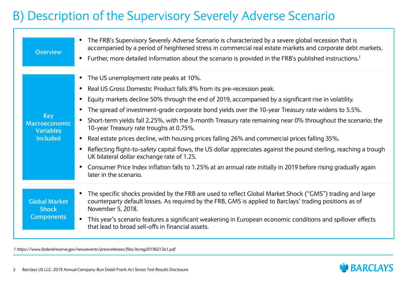#### B) Description of the Supervisory Severely Adverse Scenario

| <b>Overview</b>                                             | The FRB's Supervisory Severely Adverse Scenario is characterized by a severe global recession that is<br>accompanied by a period of heightened stress in commercial real estate markets and corporate debt markets.<br>Further, more detailed information about the scenario is provided in the FRB's published instructions. <sup>1</sup>                                                                                                                                                                                                                                                                                                                                                                                                                                                                                                                                                                       |
|-------------------------------------------------------------|------------------------------------------------------------------------------------------------------------------------------------------------------------------------------------------------------------------------------------------------------------------------------------------------------------------------------------------------------------------------------------------------------------------------------------------------------------------------------------------------------------------------------------------------------------------------------------------------------------------------------------------------------------------------------------------------------------------------------------------------------------------------------------------------------------------------------------------------------------------------------------------------------------------|
| Key<br>Macroeconomic<br><b>Variables</b><br><b>Included</b> | • The US unemployment rate peaks at 10%.<br>• Real US Gross Domestic Product falls 8% from its pre-recession peak.<br>Equity markets decline 50% through the end of 2019, accompanied by a significant rise in volatility.<br>The spread of investment-grade corporate bond yields over the 10-year Treasury rate widens to 5.5%.<br>• Short-term yields fall 2.25%, with the 3-month Treasury rate remaining near 0% throughout the scenario; the<br>10-year Treasury rate troughs at 0.75%.<br>Real estate prices decline, with housing prices falling 26% and commercial prices falling 35%.<br>Reflecting flight-to-safety capital flows, the US dollar appreciates against the pound sterling, reaching a trough<br>UK bilateral dollar exchange rate of 1.25.<br>Consumer Price Index inflation falls to 1.25% at an annual rate initially in 2019 before rising gradually again<br>later in the scenario. |
| <b>Global Market</b><br><b>Shock</b><br><b>Components</b>   | The specific shocks provided by the FRB are used to reflect Global Market Shock ("GMS") trading and large<br>counterparty default losses. As required by the FRB, GMS is applied to Barclays' trading positions as of<br>November 5, 2018.<br>• This year's scenario features a significant weakening in European economic conditions and spillover effects<br>that lead to broad sell-offs in financial assets.                                                                                                                                                                                                                                                                                                                                                                                                                                                                                                 |

*1 https://www.federalreserve.gov/newsevents/pressreleases/files/bcreg20190213a1.pdf*

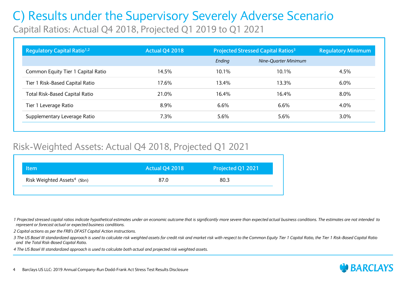Capital Ratios: Actual Q4 2018, Projected Q1 2019 to Q1 2021

| Regulatory Capital Ratio <sup>1,2</sup> | <b>Actual Q4 2018</b> | <b>Projected Stressed Capital Ratios<sup>3</sup></b> |                      | <b>Regulatory Minimum</b> |
|-----------------------------------------|-----------------------|------------------------------------------------------|----------------------|---------------------------|
|                                         |                       | Ending                                               | Nine-Ouarter Minimum |                           |
| Common Equity Tier 1 Capital Ratio      | 14.5%                 | 10.1%                                                | 10.1%                | 4.5%                      |
| Tier 1 Risk-Based Capital Ratio         | 17.6%                 | 13.4%                                                | 13.3%                | $6.0\%$                   |
| <b>Total Risk-Based Capital Ratio</b>   | 21.0%                 | 16.4%                                                | 16.4%                | 8.0%                      |
| Tier 1 Leverage Ratio                   | 8.9%                  | 6.6%                                                 | 6.6%                 | 4.0%                      |
| Supplementary Leverage Ratio            | 7.3%                  | 5.6%                                                 | 5.6%                 | $3.0\%$                   |

#### Risk-Weighted Assets: Actual Q4 2018, Projected Q1 2021

| ltem                                     | <b>Actual Q4 2018</b> | Projected Q1 2021 |
|------------------------------------------|-----------------------|-------------------|
| Risk Weighted Assets <sup>4</sup> (\$bn) | 87.0                  | 80.3              |
|                                          |                       |                   |

*1 Projected stressed capital ratios indicate hypothetical estimates under an economic outcome that is significantly more severe than expected actual business conditions. The estimates are not intended to represent or forecast actual or expected business conditions.*

*2 Capital actions as per the FRB's DFAST Capital Action instructions.*

*3 The US Basel III standardized approach is used to calculate risk weighted assets for credit risk and market risk with respect to the Common Equity Tier 1 Capital Ratio, the Tier 1 Risk-Based Capital Ratio and the Total Risk-Based Capital Ratio.* 

*4 The US Basel III standardized approach is used to calculate both actual and projected risk weighted assets.*

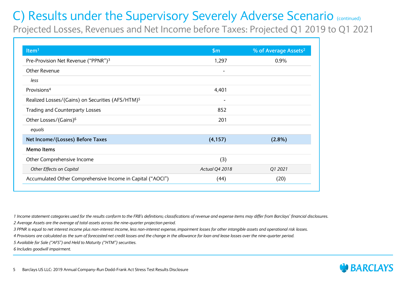Projected Losses, Revenues and Net Income before Taxes: Projected Q1 2019 to Q1 2021

| Item $1$                                                     | \$m\$                    | % of Average Assets <sup>2</sup> |
|--------------------------------------------------------------|--------------------------|----------------------------------|
| Pre-Provision Net Revenue ("PPNR") <sup>3</sup>              | 1,297                    | 0.9%                             |
| Other Revenue                                                |                          |                                  |
| less                                                         |                          |                                  |
| Provisions <sup>4</sup>                                      | 4,401                    |                                  |
| Realized Losses/(Gains) on Securities (AFS/HTM) <sup>5</sup> | $\overline{\phantom{0}}$ |                                  |
| Trading and Counterparty Losses                              | 852                      |                                  |
| Other Losses/(Gains) <sup>6</sup>                            | 201                      |                                  |
| equals                                                       |                          |                                  |
| Net Income/(Losses) Before Taxes                             | (4, 157)                 | $(2.8\%)$                        |
| <b>Memo Items</b>                                            |                          |                                  |
| Other Comprehensive Income                                   | (3)                      |                                  |
| Other Effects on Capital                                     | Actual Q4 2018           | Q1 2021                          |
| Accumulated Other Comprehensive Income in Capital ("AOCI")   | (44)                     | (20)                             |

*1 Income statement categories used for the results conform to the FRB's definitions; classifications of revenue and expense items may differ from Barclays' financial disclosures.*

*2 Average Assets are the average of total assets across the nine-quarter projection period.*

*3 PPNR is equal to net interest income plus non-interest income, less non-interest expense, impairment losses for other intangible assets and operational risk losses.*

*4 Provisions are calculated as the sum of forecasted net credit losses and the change in the allowance for loan and lease losses over the nine-quarter period.*

*5 Available for Sale ("AFS") and Held to Maturity ("HTM") securities.*

*6 Includes goodwill impairment.*

5



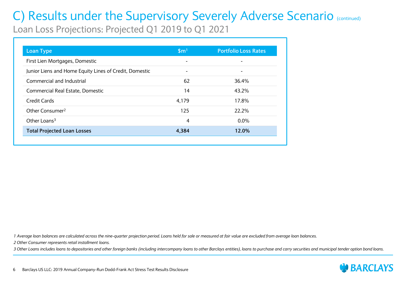Loan Loss Projections: Projected Q1 2019 to Q1 2021

| <b>Loan Type</b>                                       | \$m <sup>1</sup>         | <b>Portfolio Loss Rates</b> |
|--------------------------------------------------------|--------------------------|-----------------------------|
| First Lien Mortgages, Domestic                         | $\overline{\phantom{0}}$ |                             |
| Junior Liens and Home Equity Lines of Credit, Domestic |                          |                             |
| Commercial and Industrial                              | 62                       | 36.4%                       |
| Commercial Real Estate, Domestic                       | 14                       | 43.2%                       |
| Credit Cards                                           | 4,179                    | 17.8%                       |
| Other Consumer <sup>2</sup>                            | 125                      | 22.2%                       |
| Other Loans <sup>3</sup>                               | 4                        | $0.0\%$                     |
| <b>Total Projected Loan Losses</b>                     | 4,384                    | 12.0%                       |

*1 Average loan balances are calculated across the nine-quarter projection period. Loans held for sale or measured at fair value are excluded from average loan balances.*

*2 Other Consumer represents retail installment loans.*

*3 Other Loans includes loans to depositories and other foreign banks (including intercompany loans to other Barclays entities), loans to purchase and carry securities and municipal tender option bond loans.*

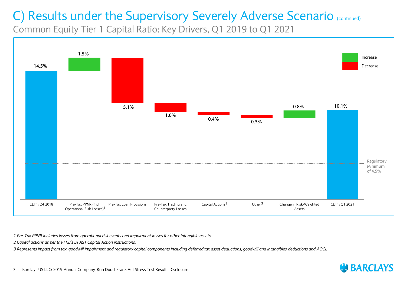Common Equity Tier 1 Capital Ratio: Key Drivers, Q1 2019 to Q1 2021



*1 Pre-Tax PPNR includes losses from operational risk events and impairment losses for other intangible assets.*

*2 Capital actions as per the FRB's DFAST Capital Action instructions.*

*3 Represents impact from tax, goodwill impairment and regulatory capital components including deferred tax asset deductions, goodwill and intangibles deductions and AOCI.*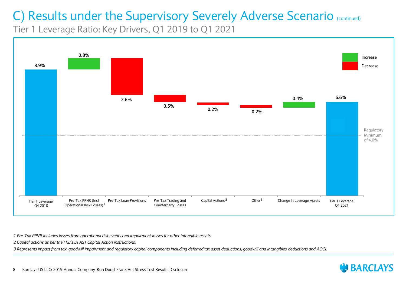Tier 1 Leverage Ratio: Key Drivers, Q1 2019 to Q1 2021



*1 Pre-Tax PPNR includes losses from operational risk events and impairment losses for other intangible assets.*

*2 Capital actions as per the FRB's DFAST Capital Action instructions.*

*3 Represents impact from tax, goodwill impairment and regulatory capital components including deferred tax asset deductions, goodwill and intangibles deductions and AOCI.*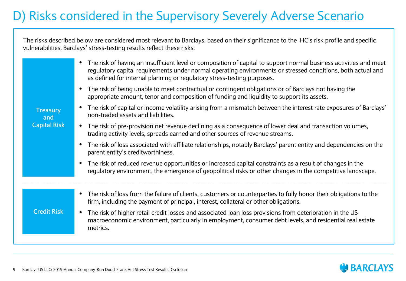### D) Risks considered in the Supervisory Severely Adverse Scenario

The risks described below are considered most relevant to Barclays, based on their significance to the IHC's risk profile and specific vulnerabilities. Barclays' stress-testing results reflect these risks.

| <b>Treasury</b><br>and<br><b>Capital Risk</b> | The risk of having an insufficient level or composition of capital to support normal business activities and meet<br>regulatory capital requirements under normal operating environments or stressed conditions, both actual and<br>as defined for internal planning or regulatory stress-testing purposes. |
|-----------------------------------------------|-------------------------------------------------------------------------------------------------------------------------------------------------------------------------------------------------------------------------------------------------------------------------------------------------------------|
|                                               | The risk of being unable to meet contractual or contingent obligations or of Barclays not having the<br>appropriate amount, tenor and composition of funding and liquidity to support its assets.                                                                                                           |
|                                               | The risk of capital or income volatility arising from a mismatch between the interest rate exposures of Barclays'<br>non-traded assets and liabilities.                                                                                                                                                     |
|                                               | The risk of pre-provision net revenue declining as a consequence of lower deal and transaction volumes,<br>trading activity levels, spreads earned and other sources of revenue streams.                                                                                                                    |
|                                               | The risk of loss associated with affiliate relationships, notably Barclays' parent entity and dependencies on the<br>parent entity's creditworthiness.                                                                                                                                                      |
|                                               | The risk of reduced revenue opportunities or increased capital constraints as a result of changes in the<br>regulatory environment, the emergence of geopolitical risks or other changes in the competitive landscape.                                                                                      |
|                                               | The risk of loss from the failure of clients, customers or counterparties to fully honor their obligations to the                                                                                                                                                                                           |
|                                               | firm, including the payment of principal, interest, collateral or other obligations.                                                                                                                                                                                                                        |
| <b>Credit Risk</b>                            | The risk of higher retail credit losses and associated loan loss provisions from deterioration in the US<br>$\bullet$<br>macroeconomic environment, particularly in employment, consumer debt levels, and residential real estate<br>metrics.                                                               |
|                                               |                                                                                                                                                                                                                                                                                                             |

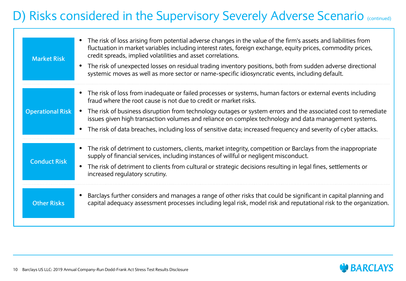### D) Risks considered in the Supervisory Severely Adverse Scenario (continued)

| <b>Market Risk</b>      | The risk of loss arising from potential adverse changes in the value of the firm's assets and liabilities from<br>fluctuation in market variables including interest rates, foreign exchange, equity prices, commodity prices,<br>credit spreads, implied volatilities and asset correlations.<br>The risk of unexpected losses on residual trading inventory positions, both from sudden adverse directional<br>$\bullet$<br>systemic moves as well as more sector or name-specific idiosyncratic events, including default. |
|-------------------------|-------------------------------------------------------------------------------------------------------------------------------------------------------------------------------------------------------------------------------------------------------------------------------------------------------------------------------------------------------------------------------------------------------------------------------------------------------------------------------------------------------------------------------|
|                         | • The risk of loss from inadequate or failed processes or systems, human factors or external events including<br>fraud where the root cause is not due to credit or market risks.                                                                                                                                                                                                                                                                                                                                             |
| <b>Operational Risk</b> | The risk of business disruption from technology outages or system errors and the associated cost to remediate<br>$\bullet$<br>issues given high transaction volumes and reliance on complex technology and data management systems.                                                                                                                                                                                                                                                                                           |
|                         | • The risk of data breaches, including loss of sensitive data; increased frequency and severity of cyber attacks.                                                                                                                                                                                                                                                                                                                                                                                                             |
| <b>Conduct Risk</b>     | • The risk of detriment to customers, clients, market integrity, competition or Barclays from the inappropriate<br>supply of financial services, including instances of willful or negligent misconduct.                                                                                                                                                                                                                                                                                                                      |
|                         | The risk of detriment to clients from cultural or strategic decisions resulting in legal fines, settlements or<br>$\bullet$<br>increased regulatory scrutiny.                                                                                                                                                                                                                                                                                                                                                                 |
| <b>Other Risks</b>      | Barclays further considers and manages a range of other risks that could be significant in capital planning and<br>capital adequacy assessment processes including legal risk, model risk and reputational risk to the organization.                                                                                                                                                                                                                                                                                          |

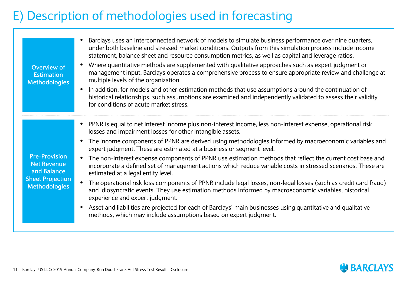### E) Description of methodologies used in forecasting

| Overview of<br><b>Estimation</b><br><b>Methodologies</b>                                                     | Barclays uses an interconnected network of models to simulate business performance over nine quarters,<br>under both baseline and stressed market conditions. Outputs from this simulation process include income<br>statement, balance sheet and resource consumption metrics, as well as capital and leverage ratios.<br>Where quantitative methods are supplemented with qualitative approaches such as expert judgment or<br>management input, Barclays operates a comprehensive process to ensure appropriate review and challenge at<br>multiple levels of the organization.<br>In addition, for models and other estimation methods that use assumptions around the continuation of<br>$\bullet$<br>historical relationships, such assumptions are examined and independently validated to assess their validity<br>for conditions of acute market stress.                          |
|--------------------------------------------------------------------------------------------------------------|--------------------------------------------------------------------------------------------------------------------------------------------------------------------------------------------------------------------------------------------------------------------------------------------------------------------------------------------------------------------------------------------------------------------------------------------------------------------------------------------------------------------------------------------------------------------------------------------------------------------------------------------------------------------------------------------------------------------------------------------------------------------------------------------------------------------------------------------------------------------------------------------|
| <b>Pre-Provision</b><br><b>Net Revenue</b><br>and Balance<br><b>Sheet Projection</b><br><b>Methodologies</b> | PPNR is equal to net interest income plus non-interest income, less non-interest expense, operational risk<br>losses and impairment losses for other intangible assets.<br>The income components of PPNR are derived using methodologies informed by macroeconomic variables and<br>expert judgment. These are estimated at a business or segment level.<br>The non-interest expense components of PPNR use estimation methods that reflect the current cost base and<br>incorporate a defined set of management actions which reduce variable costs in stressed scenarios. These are<br>estimated at a legal entity level.<br>The operational risk loss components of PPNR include legal losses, non-legal losses (such as credit card fraud)<br>and idiosyncratic events. They use estimation methods informed by macroeconomic variables, historical<br>experience and expert judgment. |
|                                                                                                              | Asset and liabilities are projected for each of Barclays' main businesses using quantitative and qualitative<br>$\bullet$<br>methods, which may include assumptions based on expert judgment.                                                                                                                                                                                                                                                                                                                                                                                                                                                                                                                                                                                                                                                                                              |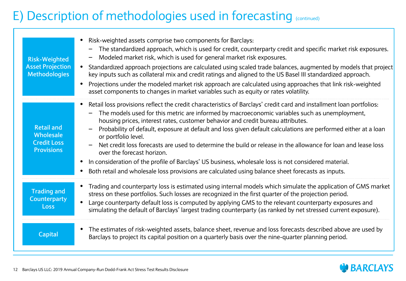### E) Description of methodologies used in forecasting (continued)

| <b>Risk-Weighted</b><br><b>Asset Projection</b><br><b>Methodologies</b>   | Risk-weighted assets comprise two components for Barclays:<br>The standardized approach, which is used for credit, counterparty credit and specific market risk exposures.<br>Modeled market risk, which is used for general market risk exposures.<br>Standardized approach projections are calculated using scaled trade balances, augmented by models that project<br>$\bullet$<br>key inputs such as collateral mix and credit ratings and aligned to the US Basel III standardized approach.<br>Projections under the modeled market risk approach are calculated using approaches that link risk-weighted<br>$\bullet$<br>asset components to changes in market variables such as equity or rates volatility.                                                                                                       |
|---------------------------------------------------------------------------|---------------------------------------------------------------------------------------------------------------------------------------------------------------------------------------------------------------------------------------------------------------------------------------------------------------------------------------------------------------------------------------------------------------------------------------------------------------------------------------------------------------------------------------------------------------------------------------------------------------------------------------------------------------------------------------------------------------------------------------------------------------------------------------------------------------------------|
| <b>Retail and</b><br>Wholesale<br><b>Credit Loss</b><br><b>Provisions</b> | Retail loss provisions reflect the credit characteristics of Barclays' credit card and installment loan portfolios:<br>$\bullet$<br>The models used for this metric are informed by macroeconomic variables such as unemployment,<br>housing prices, interest rates, customer behavior and credit bureau attributes.<br>Probability of default, exposure at default and loss given default calculations are performed either at a loan<br>or portfolio level.<br>Net credit loss forecasts are used to determine the build or release in the allowance for loan and lease loss<br>over the forecast horizon.<br>In consideration of the profile of Barclays' US business, wholesale loss is not considered material.<br>Both retail and wholesale loss provisions are calculated using balance sheet forecasts as inputs. |
| <b>Trading and</b><br><b>Counterparty</b><br><b>Loss</b>                  | Trading and counterparty loss is estimated using internal models which simulate the application of GMS market<br>$\bullet$<br>stress on these portfolios. Such losses are recognized in the first quarter of the projection period.<br>Large counterparty default loss is computed by applying GMS to the relevant counterparty exposures and<br>$\bullet$<br>simulating the default of Barclays' largest trading counterparty (as ranked by net stressed current exposure).                                                                                                                                                                                                                                                                                                                                              |
| <b>Capital</b>                                                            | The estimates of risk-weighted assets, balance sheet, revenue and loss forecasts described above are used by<br>$\bullet$<br>Barclays to project its capital position on a quarterly basis over the nine-quarter planning period.                                                                                                                                                                                                                                                                                                                                                                                                                                                                                                                                                                                         |